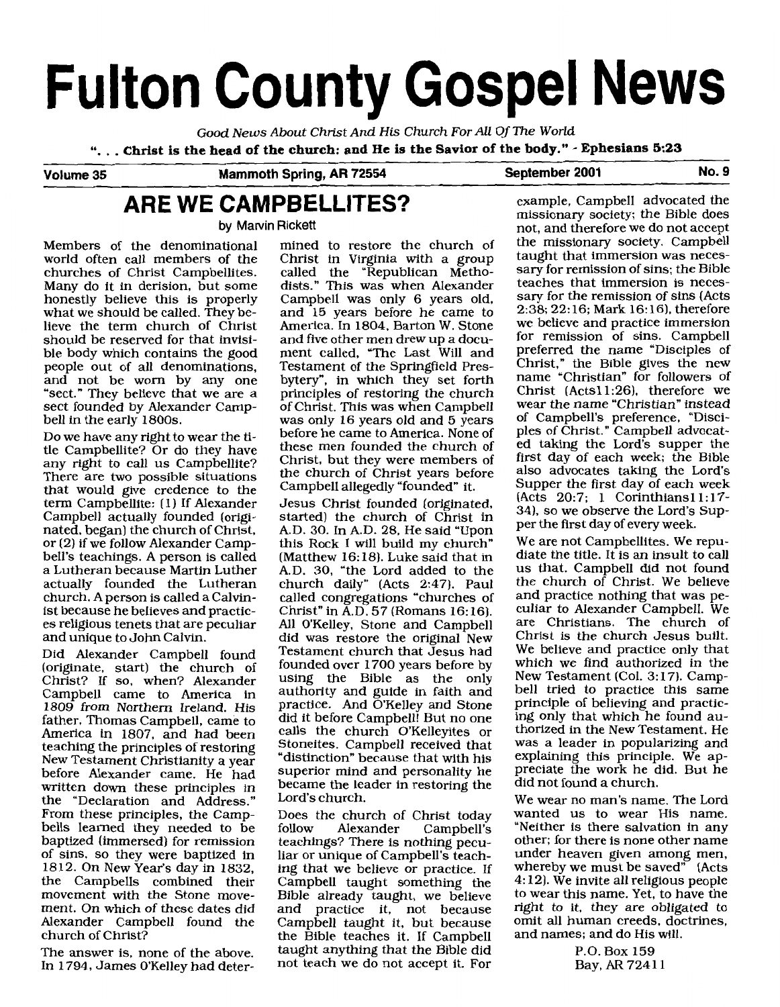# **Fulton County Gospel News**

Good *News* About Christ *And* **His** Church For All Of The World ". . . **Christ is the head of the church: and He is the Savior of the body."** - **Ephesians 5:23** 

**Volume 35 Mammoth Spring, AR 72554 September 2001 No. 9** 

# **ARE WE CAMPBELLITES?**

**by Marvin Rickett** 

Members of the denominational mined to restore the church of world often call members of the Christ in Virginia with a group churches of Christ Campbellites. called the "Republican Metho-Many do it in derision, but some dists." This was when Alexander honestly believe this is properly Campbell was only 6 years old, what we should be called. They be- and 15 years before he came to lieve the term church of Christ America. In 1804, Barton W. Stone should be reserved for that invisi- and five other men drew up a docuble body which contains the good ment called, "The Last Will and people out of all denominations, Testament of the Springfield Presand not be worn by any one bytery", in which they set forth "sect." They believe that we are a principles of restoring the church sect founded by Alexander Camp- of Christ. This was when Campbell bell in the early 1800s. was only 16 years old and 5 years

be no have any right to heat the church of the campbellite? Or do they have any right to call us Campbellite? Christ, but they were members of There are two possible situations the church of Christ years before that would give credence to the Campbell allegedly "founded" itterm Campbellite: (1) If Alexander Jesus Christ founded (originated, Campbell actually founded (origi- started) the church of Christ in nated, began) the church of Christ, A.D. 30. In A.D. 28. He said "Upon or (2) if we follow Alexander Camp- this Rock I will build my church" bell's teachings. A person is called (Matthew 16: 18). Luke said that in a Lutheran because Martin Luther A.D. 30, "the Lord added to the actually founded the Lutheran church daily" (Acts 2:47). Paul church. A person is called a Calvin- called congregations "churches of church. A person is called a Calvin-called congregations "churches of ist because he believes and practic-<br>Christ" in A.D. 57 (Romans 16:16). es religious tenets that are peculiar All O'Kelley, Stone and Campbell and unique to John Calvin. did was restore the original New

Did Alexander Campbell found Testament church that Jesus had (originate, start) the church of founded over 1700 years before by Christ? If so, when? Alexander using the Bible as the only Campbell came to America in authority and guide in faith and 1809 from Northern Ireland. His practice. And O'Kelley and Stone 1809 from Northern Ireland. His practice. And O'Kelley and Stone<br>father, Thomas Campbell, came to did it before Campbell! But no one America in 1807, and had been calls the church O'Kelleyites or teaching the principles of restoring Stoneites. Campbell received that New Testament Christianity a year "distinction" because that with his before Alexander came. He had superior mind and personality he written down these principles in the "Declaration and Address." From these principles, the Camp- Does the church of Christ today bells learned they needed to be follow Alexander Campbell's baptized (immersed) for remission teachings? There is nothing pecuof sins, so they were baptized in liar or unique of Campbell's teach-1812. On New Year's day in 1832, ing that we believe or practice. If the Campbells combined their Campbell taught something the movement with the Stone move- Bible already taught, we believe ment. On which of these dates did and practice **it,** not because Alexander Campbell found the Campbell taught it, but because church of Christ? the Bible teaches it. If Campbell

In 1794, James O'Kelley had deter- not teach we do not accept it. For

Do we have any right to wear the  $t_i$ - before he came to America. None of

started) the church of Christ in actually founded the Lutheran church daily" (Acts 2:47). Paul became the leader in restoring the<br>Lord's church.

The answer is, none of the above. taught anything that the Bible did

example, Campbell advocated the missionary society; the Bible does not, and therefore we do not accept the missionary society. Campbell taught that immersion was necessary for remission of sins; the Bible teaches that immersion is necessary for the remission of sins (Acts 2:38; 22:16; Mark 16:16), therefore we believe and practice immersion for remission of sins. Campbell preferred the name "Disciples of Christ," the Bible gives the new name "Christian" for followers of Christ (Acts11:26), therefore we wear the name "Christian" instead of Campbell's preference, "Disciples of Christ." Campbell advocated taking the Lord's supper the first day of each week; the Bible also advocates taking the Lord's Supper the first day of each week (Acts 20:7; 1 Corinthians11:17-34). so we observe the Lord's Supper the first day of every week.

We are not Campbellites. We repudiate the title. It is an insult to call us that. Campbell did not found the church of Christ. We believe and practice nothing that was peculiar to Alexander Campbell. We are Christians. The church of Christ is the church Jesus built. We believe and practice only that which we find authorized in the New Testament (Col. **3:** 17). Campbell tried to practice this same principle of believing and practicing only that which he found authorized in the New Testament. He was a leader in popularizing and explaining this principle. We appreciate the work he did. But he did not found a church.

We wear no man's name. The Lord wanted us to wear His name. "Neither is there salvation in any other; for there is none other name under heaven given among men, whereby we must be saved" [Acts 4: 121. We invite all religious people to wear this name. Yet, to have the right to it, they are obligated to omit all human creeds, doctrines, and names; and do His will.

> P.O. Box 159 Bay, **AR** 724 1 1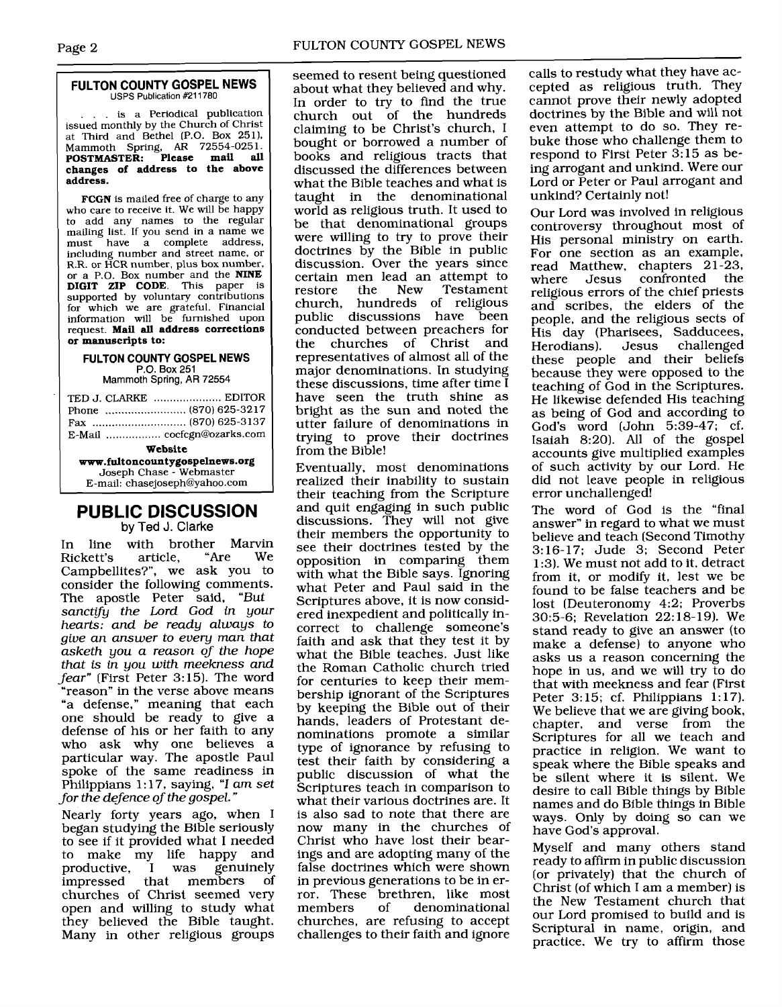# **FULTON COUNTY GOSPEL NEWS**<br>USPS Publication #211780

. is a Periodical publication issued monthly by the Church of Christ at Third and Bethel (P.O. Box 2511. Mammoth Spring, **AR** 72554-025 1. **POSTMASTER: Please mail all changes of address to the above address.** 

**FCGN** is mailed free of charge to any who care to receive it. We will be happy to add any names to the regular mailing list. If you send in a name we<br>must have a complete address. have a complete address, including number and street name, or R.R. or HCR number, plus box number, or a P.O. Box number and the **NINE DIGIT ZIP CODE.** This paper is supported by voluntary contributions for which we are grateful. Financial information will be furnished upon request. **Mail all address corrections or manuscripts to:** 

#### **FULTON COUNTY GOSPEL NEWS P.O.** Box 251

Mammoth Spring, AR 72554

|                                | TED J. CLARKE  EDITOR      |
|--------------------------------|----------------------------|
|                                |                            |
|                                |                            |
|                                | E-Mail  cocfcgn@ozarks.com |
| Website                        |                            |
| www.fultoncountygospelnews.org |                            |
| Joseph Chase - Webmaster       |                            |

## **PUBLIC DISCUSSION by Ted J.** Clarke

E-mail: chasejoseph@yahoo.com

In line with brother Marvin<br>Rickett's article. "Are We Rickett's Campbellites?", we ask you to consider the following comments. The apostle Peter said, "But sanctify the Lord God in your hearts: and be ready always to give an answer to every man that asketh you a reason of the hope that is in you with meekness and fear" (First Peter 3:15). The word 'reason" in the verse above means "a defense," meaning that each one should be ready to give a defense of his or her faith to any who ask why one believes a particular way. The apostle Paul spoke of the same readiness in Philippians 1:17, saying, "I am set for the defence of the gospel. "

Nearly forty years ago, when I began studying the Bible seriously to see if it provided what I needed to make my life happy and<br>productive, I was genuinely productive, I was genuinely that members churches of Christ seemed very open and willing to study what they believed the Bible taught. Many in other religious groups

seemed to resent being questioned about what they believed and why. In order to try to find the true church out of the hundreds claiming to be Christ's church, I bought or borrowed a number of books and religious tracts that discussed the differences between what the Bible teaches and what is taught in the denominational world as religious truth. It used to be that denominational groups were willing to try to prove their doctrines by the Bible in public discussion. Over the years since certain men lead an attempt to<br>restore the New Testament Testament church, hundreds of religious public discussions have conducted between preachers for the churches of Christ and representatives of almost all of the major denominations. In studying these discussions, time after time I have seen the truth shine as bright as the sun and noted the utter failure of denominations in trying to prove their doctrines from the Bible!

Eventually, most denominations realized their inability to sustain their teaching from the Scripture and quit engaging in such public discussions. They will not give their members the opportunity to see their doctrines tested by the opposition in comparing them with what the Bible says. Ignoring what Peter and Paul said in the Scriptures above, it is now considered inexpedient and politically incorrect to challenge someone's faith and ask that they test it by what the Bible teaches. Just like the Roman Catholic church tried for centuries to keep their membership ignorant of the Scriptures by keeping the Bible out of their hands, leaders of Protestant denominations promote a similar type of ignorance by refusing to test their faith by considering a public discussion of what the Scriptures teach in comparison to what their various doctrines are. It is also sad to note that there are now many in the churches of Christ who have lost their bearings and are adopting many of the false doctrines which were shown in previous generations to be in error. These brethren, like most members of denominational churches, are refusing to accept challenges to their faith and ignore

calls to restudy what they have accepted as religious truth. They cannot prove their newly adopted doctrines by the Bible and will not even attempt to do so. They rebuke those who challenge them to respond to First Peter 3:15 as being arrogant and unkind. Were our Lord or Peter or Paul arrogant and unkind? Certainly not!

Our Lord was involved in religious controversy throughout most of His personal ministry on earth. For one section as an example, read Matthew, chapters 21-23,<br>where Jesus confronted the where Jesus confronted religious errors of the chief priests and scribes, the elders of the people, and the religious sects of His day (Pharisees, Sadducees, Herodians). these people and their beliefs because they were opposed to the teaching of God in the Scriptures. He likewise defended His teaching as being of God and according to God's word (John 5:39-47; cf. Isaiah 8:20). All of the gospel accounts give multiplied examples of such activity by our Lord. He did not leave people in religious error unchallenged!

The word of God is the "final answer" in regard to what we must believe and teach (Second Timothy 3:16-17; Jude 3; Second Peter 1 :3). We must not add to it, detract from it, or modify it, lest we be found to be false teachers and be lost (Deuteronomy 4:2; Proverbs 30:5-6; Revelation 22: 18-19). We stand ready to give an answer (to make a defense) to anyone who asks us a reason concerning the hope in us, and we will try to do that with meekness and fear (First Peter 3:15; cf. Philippians 1:17). We believe that we are giving book, chapter, and verse from the Scriptures for all we teach and practice in religion. We want to speak where the Bible speaks and be silent where it is silent. We desire to call Bible things by Bible names and do Bible things in Bible ways. Only by doing so can we have God's approval.

Myself and many others stand ready to affirm in public discussion (or privately) that the church of Christ (of which I am a member) is the New Testament church that our Lord promised to build and is Scriptural in name, origin, and practice. We try to affirm those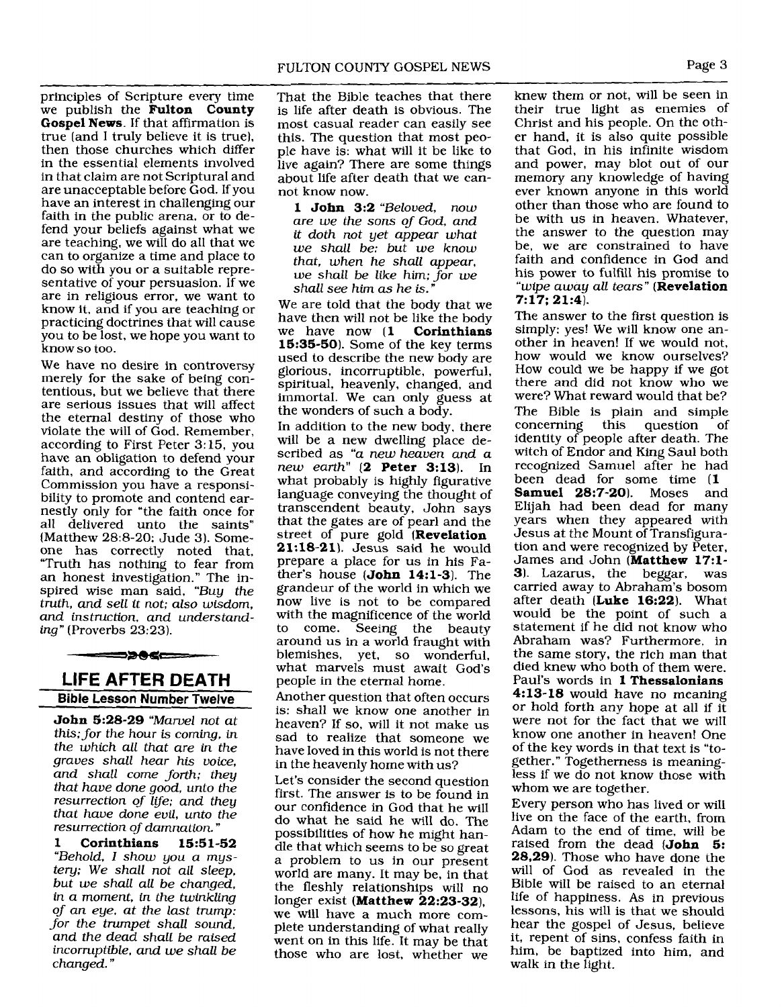principles of Scripture every time we publish the Fulton County Gospel News. If that affirmation is true (and I truly believe it is true), then those churches which differ in the essential elements involved in that claim are not Scriptural and are unacceptable before God. If you have an interest in challenging our faith in the public arena, or to defend your beliefs against what we are teaching, we will do all that we can to organize a time and place to do so with you or a suitable representative of your persuasion. If we are in religious error, we want to know it, and if you are teaching or practicing doctrines that will cause you to be lost, we hope you want to know so too.

We have no desire in controversy merely for the sake of being contentious, but we believe that there are serious issues that will affect the eternal destiny of those who violate the will of God. Remember, according to First Peter 3:15, you have an obligation to defend your faith, and according to the Great Commission you have a responsibility to promote and contend earnestly only for "the faith once for all delivered unto the saints" (Matthew 28:B-20; Jude 3). Someone has correctly noted that, "Truth has nothing to fear from an honest investigation." The inspired wise man said, *"Buy the truth, and sell it not; also wisdom, and instruction, and understanding"* (Proverbs 23:23).

# **LIFE AFTER DEATH Bible Lesson Number Twelve**

--->>0c-------

John 5:28-29 *"Marvel not at this; for the hour is coming, in the which all that are in the graues shall hear his voice, and shall come forth; they that have done good, unto the resurrection of lije; and they that haue done euil, unto the resurrection of damnation.* "

1 Corinthians 15:51-52 *"Behold, I show you a mystery; We shall not all sleep, but we shall all be changed, in a moment, in the twinkling*  of *an eye, at the last trump: for the trumpet shall sound, and the dead shall be raised incorruptible, and we shall be changed."* 

FULTON COUNTY GOSPEL NEWS is life after death is obvious. The most casual reader can easily see this. The question that most people have is: what will it be like to live again? There are some things about life after death that we cannot know now.

1 John 3:2 *"Beloved, now are we the sons of God, and it doth not yet appear what we shall be: but we know that, when he shall appear, we shall be like him;* **for** *we shall see him as he is."* 

We are told that the body that we have then will not be like the body we have now (1 Corinthians 15:35-50). Some of the key terms used to describe the new body are glorious, incorruptible, powerful, spiritual, heavenly, changed, and immortal. We can only guess at the wonders of such a body.

In addition to the new body, there will be a new dwelling place described as *"a new heaven and a new earth"* (2 Peter 3:13). In what probably is highly figurative language conveying the thought of transcendent beauty, John says that the gates are of pearl and the street of pure gold (Revelation 21:18-21). Jesus said he would prepare a place for us in his Father's house  $(John 14:1-3)$ . The grandeur of the world in which we now live is not to be compared with the magnificence of the world to come. Seeing the beauty around us in a world fraught with blemishes, yet, so wonderful, what marvels must await God's peopIe in the eternal home.

Another question that often occurs is: shall we know one another in heaven? If so, will it not make us sad to realize that someone we have loved in this world is not there in the heavenly home with us?

Let's consider the second question first. The answer is to be found in our confidence in God that he will do what he said he will do. The possibilities of how he might handle that which seems to be so great a problem to us in our present world are many. It may be, in that the fleshly relationships will no longer exist (Matthew 22:23-32), we will have a much more complete understanding of what really went on in this life. It may be that those who are lost, whether we

knew them or not, will be seen in their true light as enemies of Christ and his people. On the other hand, it is also quite possible that God, in his infinite wisdom and power, may blot out of our memory any knowledge of having ever known anyone in this world other than those who are found to be with us in heaven. Whatever, the answer to the question may be, we are constrained to have faith and confidence in God and his power to fulfill his promise to *"wipe away all tears"* (Revelation 7:17; 21:4).

The answer to the first question is simply: yes! We will know one another in heaven! If we would not, how would we know ourselves? How could we be happy if we got there and did not know who we were? What reward would that be? The Bible is plain and simple<br>concerning this question of concerning this question identity of people after death. The witch of Endor and King Saul both recognized Samuel after he had been dead for some time (1<br>Samuel 28:7-20). Moses and Samuel  $28:7-20$ . Moses Elijah had been dead for many years when they appeared with Jesus at the Mount of Transfiguration and were recognized by Peter, James and John (Matthew 17:l-3). Lazarus, the beggar, was carried away to Abraham's bosom after death **(Luke** 16:22). What would be the point of such a statement if he did not know who Abraham was? Furthermore, in the same story, the rich man that died knew who both of them were. Paul's words in 1 Thessalonians 4:13-18 would have no meaning or hold forth any hope at all if it were not for the fact that we will know one another in heaven! One of the key words in that text is "together." Togetherness is meaningless if we do not know those with whom we are together.

Every person who has lived or will live on the face of the earth, from Adam to the end of time, will be raised from the dead (John 5: 28.29). Those who have done the will of God as revealed in the Bible will be raised to an eternal life of happiness. As in previous lessons, his will is that we should hear the gospel of Jesus, believe it, repent of sins, confess faith in him, be baptized into him, and walk in the light.